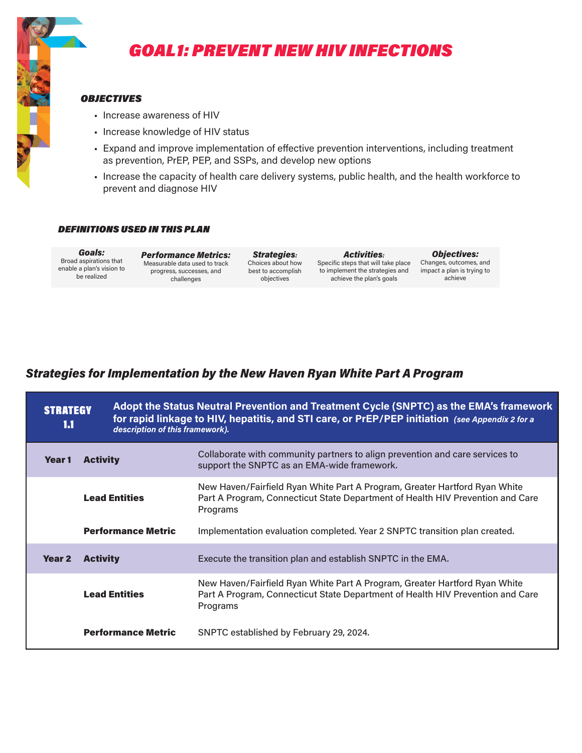

# GOAL 1: PREVENT NEW HIV INFECTIONS

#### **OBJECTIVES**

- Increase awareness of HIV
- Increase knowledge of HIV status
- Expand and improve implementation of effective prevention interventions, including treatment as prevention, PrEP, PEP, and SSPs, and develop new options
- Increase the capacity of health care delivery systems, public health, and the health workforce to prevent and diagnose HIV

#### DEFINITIONS USED IN THIS PLAN

Goals: Broad aspirations that enable a plan's vision to be realized

Performance Metrics: Measurable data used to track progress, successes, and challenges

Strategies: Choices about how best to accomplish objectives

Activities: Specific steps that will take place to implement the strategies and achieve the plan's goals

Objectives: Changes, outcomes, and impact a plan is trying to achieve

| <b>STRATEGY</b><br>1.1 |                           | Adopt the Status Neutral Prevention and Treatment Cycle (SNPTC) as the EMA's framework<br>for rapid linkage to HIV, hepatitis, and STI care, or PrEP/PEP initiation (see Appendix 2 for a<br>description of this framework). |  |
|------------------------|---------------------------|------------------------------------------------------------------------------------------------------------------------------------------------------------------------------------------------------------------------------|--|
| Year 1                 | <b>Activity</b>           | Collaborate with community partners to align prevention and care services to<br>support the SNPTC as an EMA-wide framework.                                                                                                  |  |
|                        | <b>Lead Entities</b>      | New Haven/Fairfield Ryan White Part A Program, Greater Hartford Ryan White<br>Part A Program, Connecticut State Department of Health HIV Prevention and Care<br>Programs                                                     |  |
|                        | <b>Performance Metric</b> | Implementation evaluation completed. Year 2 SNPTC transition plan created.                                                                                                                                                   |  |
| Year <sub>2</sub>      | <b>Activity</b>           | Execute the transition plan and establish SNPTC in the EMA.                                                                                                                                                                  |  |
|                        | <b>Lead Entities</b>      | New Haven/Fairfield Ryan White Part A Program, Greater Hartford Ryan White<br>Part A Program, Connecticut State Department of Health HIV Prevention and Care<br>Programs                                                     |  |
|                        | <b>Performance Metric</b> | SNPTC established by February 29, 2024.                                                                                                                                                                                      |  |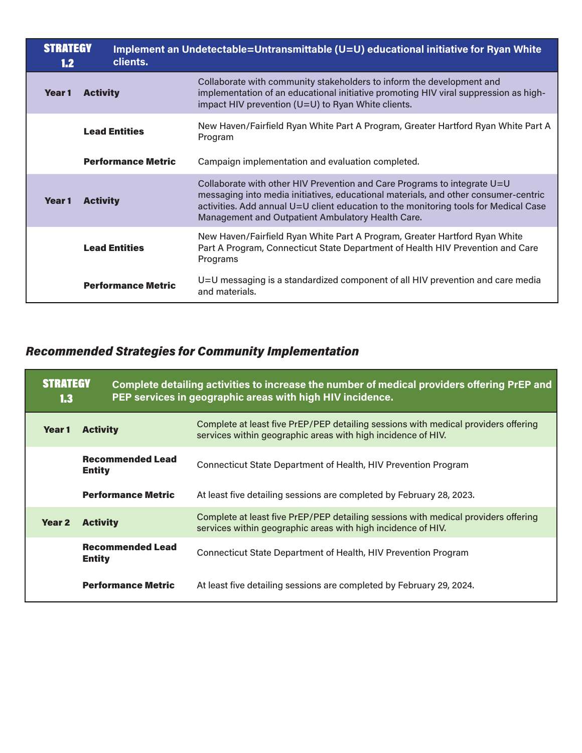| <b>STRATEGY</b><br>1.2 | clients.                  | Implement an Undetectable=Untransmittable (U=U) educational initiative for Ryan White                                                                                                                                                                                                                        |
|------------------------|---------------------------|--------------------------------------------------------------------------------------------------------------------------------------------------------------------------------------------------------------------------------------------------------------------------------------------------------------|
| Year 1                 | <b>Activity</b>           | Collaborate with community stakeholders to inform the development and<br>implementation of an educational initiative promoting HIV viral suppression as high-<br>impact HIV prevention (U=U) to Ryan White clients.                                                                                          |
|                        | <b>Lead Entities</b>      | New Haven/Fairfield Ryan White Part A Program, Greater Hartford Ryan White Part A<br>Program                                                                                                                                                                                                                 |
|                        | <b>Performance Metric</b> | Campaign implementation and evaluation completed.                                                                                                                                                                                                                                                            |
| Year 1                 | <b>Activity</b>           | Collaborate with other HIV Prevention and Care Programs to integrate U=U<br>messaging into media initiatives, educational materials, and other consumer-centric<br>activities. Add annual U=U client education to the monitoring tools for Medical Case<br>Management and Outpatient Ambulatory Health Care. |
|                        | <b>Lead Entities</b>      | New Haven/Fairfield Ryan White Part A Program, Greater Hartford Ryan White<br>Part A Program, Connecticut State Department of Health HIV Prevention and Care<br>Programs                                                                                                                                     |
|                        | <b>Performance Metric</b> | U=U messaging is a standardized component of all HIV prevention and care media<br>and materials.                                                                                                                                                                                                             |

| <b>STRATEGY</b><br>1.3 |                                          | Complete detailing activities to increase the number of medical providers offering PrEP and<br>PEP services in geographic areas with high HIV incidence. |
|------------------------|------------------------------------------|----------------------------------------------------------------------------------------------------------------------------------------------------------|
| Year 1                 | <b>Activity</b>                          | Complete at least five PrEP/PEP detailing sessions with medical providers offering<br>services within geographic areas with high incidence of HIV.       |
|                        | <b>Recommended Lead</b><br><b>Entity</b> | Connecticut State Department of Health, HIV Prevention Program                                                                                           |
|                        | <b>Performance Metric</b>                | At least five detailing sessions are completed by February 28, 2023.                                                                                     |
| Year <sub>2</sub>      | <b>Activity</b>                          | Complete at least five PrEP/PEP detailing sessions with medical providers offering<br>services within geographic areas with high incidence of HIV.       |
|                        | <b>Recommended Lead</b><br><b>Entity</b> | Connecticut State Department of Health, HIV Prevention Program                                                                                           |
|                        | <b>Performance Metric</b>                | At least five detailing sessions are completed by February 29, 2024.                                                                                     |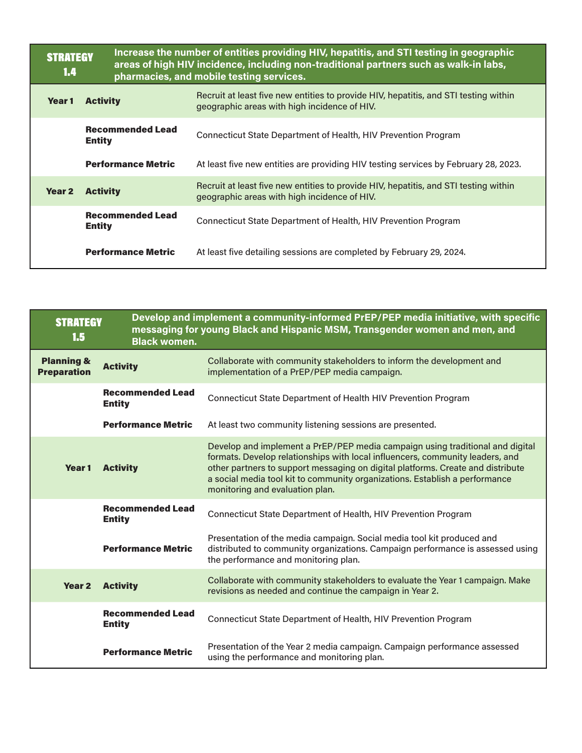| <b>STRATEGY</b><br>1.4 |                                          | Increase the number of entities providing HIV, hepatitis, and STI testing in geographic<br>areas of high HIV incidence, including non-traditional partners such as walk-in labs,<br>pharmacies, and mobile testing services. |  |
|------------------------|------------------------------------------|------------------------------------------------------------------------------------------------------------------------------------------------------------------------------------------------------------------------------|--|
| Year <sub>1</sub>      | <b>Activity</b>                          | Recruit at least five new entities to provide HIV, hepatitis, and STI testing within<br>geographic areas with high incidence of HIV.                                                                                         |  |
|                        | <b>Recommended Lead</b><br><b>Entity</b> | Connecticut State Department of Health, HIV Prevention Program                                                                                                                                                               |  |
|                        | <b>Performance Metric</b>                | At least five new entities are providing HIV testing services by February 28, 2023.                                                                                                                                          |  |
| Year <sub>2</sub>      | <b>Activity</b>                          | Recruit at least five new entities to provide HIV, hepatitis, and STI testing within<br>geographic areas with high incidence of HIV.                                                                                         |  |
|                        | <b>Recommended Lead</b><br><b>Entity</b> | Connecticut State Department of Health, HIV Prevention Program                                                                                                                                                               |  |
|                        | <b>Performance Metric</b>                | At least five detailing sessions are completed by February 29, 2024.                                                                                                                                                         |  |

| <b>STRATEGY</b><br>1.5<br><b>Black women.</b> |                                          | Develop and implement a community-informed PrEP/PEP media initiative, with specific<br>messaging for young Black and Hispanic MSM, Transgender women and men, and                                                                                                                                                                                                   |
|-----------------------------------------------|------------------------------------------|---------------------------------------------------------------------------------------------------------------------------------------------------------------------------------------------------------------------------------------------------------------------------------------------------------------------------------------------------------------------|
| <b>Planning &amp;</b><br><b>Preparation</b>   | <b>Activity</b>                          | Collaborate with community stakeholders to inform the development and<br>implementation of a PrEP/PEP media campaign.                                                                                                                                                                                                                                               |
|                                               | <b>Recommended Lead</b><br><b>Entity</b> | Connecticut State Department of Health HIV Prevention Program                                                                                                                                                                                                                                                                                                       |
|                                               | <b>Performance Metric</b>                | At least two community listening sessions are presented.                                                                                                                                                                                                                                                                                                            |
| Year 1                                        | <b>Activity</b>                          | Develop and implement a PrEP/PEP media campaign using traditional and digital<br>formats. Develop relationships with local influencers, community leaders, and<br>other partners to support messaging on digital platforms. Create and distribute<br>a social media tool kit to community organizations. Establish a performance<br>monitoring and evaluation plan. |
|                                               | <b>Recommended Lead</b><br><b>Entity</b> | Connecticut State Department of Health, HIV Prevention Program                                                                                                                                                                                                                                                                                                      |
|                                               | <b>Performance Metric</b>                | Presentation of the media campaign. Social media tool kit produced and<br>distributed to community organizations. Campaign performance is assessed using<br>the performance and monitoring plan.                                                                                                                                                                    |
| Year <sub>2</sub>                             | <b>Activity</b>                          | Collaborate with community stakeholders to evaluate the Year 1 campaign. Make<br>revisions as needed and continue the campaign in Year 2.                                                                                                                                                                                                                           |
|                                               | <b>Recommended Lead</b><br><b>Entity</b> | Connecticut State Department of Health, HIV Prevention Program                                                                                                                                                                                                                                                                                                      |
|                                               | <b>Performance Metric</b>                | Presentation of the Year 2 media campaign. Campaign performance assessed<br>using the performance and monitoring plan.                                                                                                                                                                                                                                              |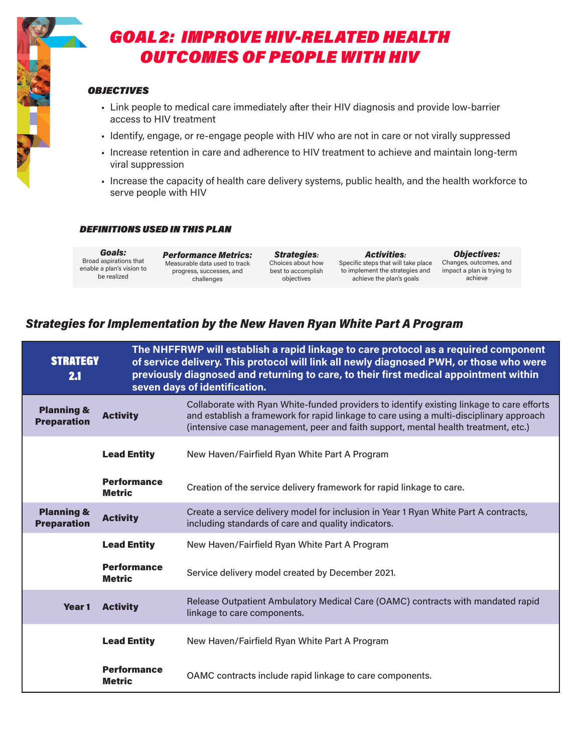

# GOAL 2: IMPROVE HIV-RELATED HEALTH OUTCOMES OF PEOPLE WITH HIV

### **OBJECTIVES**

- Link people to medical care immediately after their HIV diagnosis and provide low-barrier access to HIV treatment
- Identify, engage, or re-engage people with HIV who are not in care or not virally suppressed
- Increase retention in care and adherence to HIV treatment to achieve and maintain long-term viral suppression
- Increase the capacity of health care delivery systems, public health, and the health workforce to serve people with HIV

#### DEFINITIONS USED IN THIS PLAN

Goals: Broad aspirations that enable a plan's vision to be realized

Performance Metrics: Measurable data used to track progress, successes, and challenges

Strategies: Choices about how best to accomplish objectives

Activities: Specific steps that will take place Changes, outcomes, and to implement the strategies and achieve the plan's goals

Objectives: impact a plan is trying to achieve

| <b>STRATEGY</b><br>2.1                      |                                     | The NHFFRWP will establish a rapid linkage to care protocol as a required component<br>of service delivery. This protocol will link all newly diagnosed PWH, or those who were<br>previously diagnosed and returning to care, to their first medical appointment within<br>seven days of identification. |
|---------------------------------------------|-------------------------------------|----------------------------------------------------------------------------------------------------------------------------------------------------------------------------------------------------------------------------------------------------------------------------------------------------------|
| <b>Planning &amp;</b><br><b>Preparation</b> | <b>Activity</b>                     | Collaborate with Ryan White-funded providers to identify existing linkage to care efforts<br>and establish a framework for rapid linkage to care using a multi-disciplinary approach<br>(intensive case management, peer and faith support, mental health treatment, etc.)                               |
|                                             | <b>Lead Entity</b>                  | New Haven/Fairfield Ryan White Part A Program                                                                                                                                                                                                                                                            |
|                                             | <b>Performance</b><br><b>Metric</b> | Creation of the service delivery framework for rapid linkage to care.                                                                                                                                                                                                                                    |
| <b>Planning &amp;</b><br><b>Preparation</b> | <b>Activity</b>                     | Create a service delivery model for inclusion in Year 1 Ryan White Part A contracts,<br>including standards of care and quality indicators.                                                                                                                                                              |
|                                             | <b>Lead Entity</b>                  | New Haven/Fairfield Ryan White Part A Program                                                                                                                                                                                                                                                            |
|                                             | <b>Performance</b><br><b>Metric</b> | Service delivery model created by December 2021.                                                                                                                                                                                                                                                         |
| Year <sub>1</sub>                           | <b>Activity</b>                     | Release Outpatient Ambulatory Medical Care (OAMC) contracts with mandated rapid<br>linkage to care components.                                                                                                                                                                                           |
|                                             | <b>Lead Entity</b>                  | New Haven/Fairfield Ryan White Part A Program                                                                                                                                                                                                                                                            |
|                                             | <b>Performance</b><br><b>Metric</b> | OAMC contracts include rapid linkage to care components.                                                                                                                                                                                                                                                 |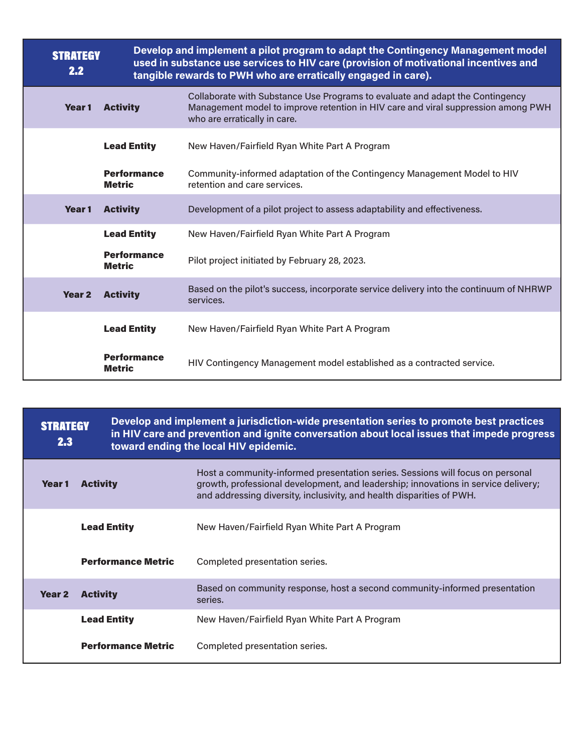| <b>STRATEGY</b><br>2.2 |                                     | Develop and implement a pilot program to adapt the Contingency Management model<br>used in substance use services to HIV care (provision of motivational incentives and<br>tangible rewards to PWH who are erratically engaged in care). |
|------------------------|-------------------------------------|------------------------------------------------------------------------------------------------------------------------------------------------------------------------------------------------------------------------------------------|
| Year <sub>1</sub>      | <b>Activity</b>                     | Collaborate with Substance Use Programs to evaluate and adapt the Contingency<br>Management model to improve retention in HIV care and viral suppression among PWH<br>who are erratically in care.                                       |
|                        | <b>Lead Entity</b>                  | New Haven/Fairfield Ryan White Part A Program                                                                                                                                                                                            |
|                        | <b>Performance</b><br><b>Metric</b> | Community-informed adaptation of the Contingency Management Model to HIV<br>retention and care services.                                                                                                                                 |
| Year 1                 | <b>Activity</b>                     | Development of a pilot project to assess adaptability and effectiveness.                                                                                                                                                                 |
|                        | <b>Lead Entity</b>                  | New Haven/Fairfield Ryan White Part A Program                                                                                                                                                                                            |
|                        | <b>Performance</b><br><b>Metric</b> | Pilot project initiated by February 28, 2023.                                                                                                                                                                                            |
| <b>Year 2</b>          | <b>Activity</b>                     | Based on the pilot's success, incorporate service delivery into the continuum of NHRWP<br>services.                                                                                                                                      |
|                        | <b>Lead Entity</b>                  | New Haven/Fairfield Ryan White Part A Program                                                                                                                                                                                            |
|                        | <b>Performance</b><br><b>Metric</b> | HIV Contingency Management model established as a contracted service.                                                                                                                                                                    |

| <b>STRATEGY</b><br>2.3 |                 | Develop and implement a jurisdiction-wide presentation series to promote best practices<br>in HIV care and prevention and ignite conversation about local issues that impede progress<br>toward ending the local HIV epidemic. |                                                                                                                                                                                                                                               |
|------------------------|-----------------|--------------------------------------------------------------------------------------------------------------------------------------------------------------------------------------------------------------------------------|-----------------------------------------------------------------------------------------------------------------------------------------------------------------------------------------------------------------------------------------------|
| Year 1                 | <b>Activity</b> |                                                                                                                                                                                                                                | Host a community-informed presentation series. Sessions will focus on personal<br>growth, professional development, and leadership; innovations in service delivery;<br>and addressing diversity, inclusivity, and health disparities of PWH. |
|                        |                 | <b>Lead Entity</b>                                                                                                                                                                                                             | New Haven/Fairfield Ryan White Part A Program                                                                                                                                                                                                 |
|                        |                 | <b>Performance Metric</b>                                                                                                                                                                                                      | Completed presentation series.                                                                                                                                                                                                                |
| <b>Year 2</b>          | <b>Activity</b> |                                                                                                                                                                                                                                | Based on community response, host a second community-informed presentation<br>series.                                                                                                                                                         |
|                        |                 | <b>Lead Entity</b>                                                                                                                                                                                                             | New Haven/Fairfield Ryan White Part A Program                                                                                                                                                                                                 |
|                        |                 | <b>Performance Metric</b>                                                                                                                                                                                                      | Completed presentation series.                                                                                                                                                                                                                |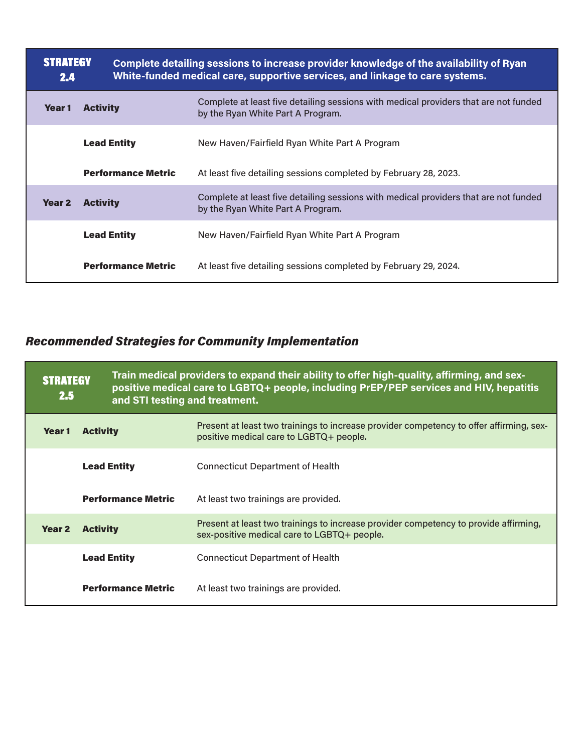| <b>STRATEGY</b><br>2.4 |                           | Complete detailing sessions to increase provider knowledge of the availability of Ryan<br>White-funded medical care, supportive services, and linkage to care systems. |
|------------------------|---------------------------|------------------------------------------------------------------------------------------------------------------------------------------------------------------------|
| Year 1                 | <b>Activity</b>           | Complete at least five detailing sessions with medical providers that are not funded<br>by the Ryan White Part A Program.                                              |
|                        | <b>Lead Entity</b>        | New Haven/Fairfield Ryan White Part A Program                                                                                                                          |
|                        | <b>Performance Metric</b> | At least five detailing sessions completed by February 28, 2023.                                                                                                       |
| Year <sub>2</sub>      | <b>Activity</b>           | Complete at least five detailing sessions with medical providers that are not funded<br>by the Ryan White Part A Program.                                              |
|                        | <b>Lead Entity</b>        | New Haven/Fairfield Ryan White Part A Program                                                                                                                          |
|                        | <b>Performance Metric</b> | At least five detailing sessions completed by February 29, 2024.                                                                                                       |

| <b>STRATEGY</b><br>$2.5^{\circ}$ |                           | Train medical providers to expand their ability to offer high-quality, affirming, and sex-<br>positive medical care to LGBTQ+ people, including PrEP/PEP services and HIV, hepatitis<br>and STI testing and treatment. |  |
|----------------------------------|---------------------------|------------------------------------------------------------------------------------------------------------------------------------------------------------------------------------------------------------------------|--|
| Year 1                           | <b>Activity</b>           | Present at least two trainings to increase provider competency to offer affirming, sex-<br>positive medical care to LGBTQ+ people.                                                                                     |  |
|                                  | <b>Lead Entity</b>        | <b>Connecticut Department of Health</b>                                                                                                                                                                                |  |
|                                  | <b>Performance Metric</b> | At least two trainings are provided.                                                                                                                                                                                   |  |
| Year <sub>2</sub>                | <b>Activity</b>           | Present at least two trainings to increase provider competency to provide affirming,<br>sex-positive medical care to LGBTQ+ people.                                                                                    |  |
|                                  | <b>Lead Entity</b>        | <b>Connecticut Department of Health</b>                                                                                                                                                                                |  |
|                                  | <b>Performance Metric</b> | At least two trainings are provided.                                                                                                                                                                                   |  |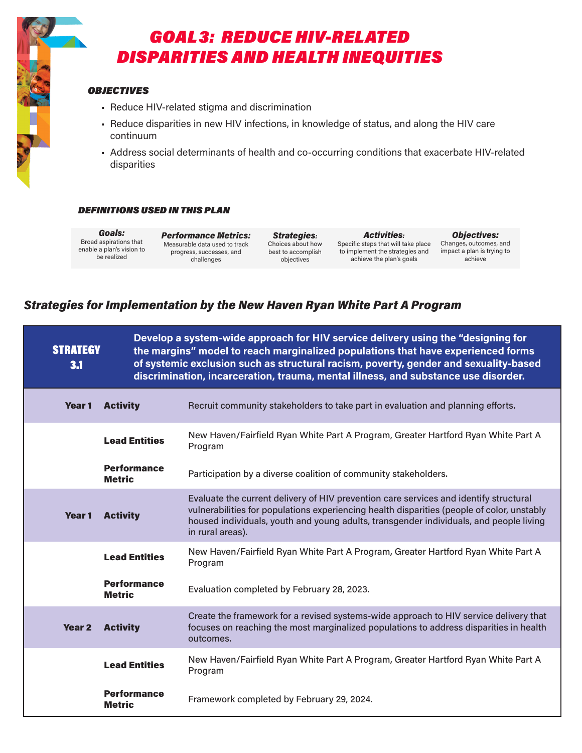

# GOAL 3: REDUCE HIV-RELATED DISPARITIES AND HEALTH INEQUITIES

### **OBJECTIVES**

- Reduce HIV-related stigma and discrimination
- Reduce disparities in new HIV infections, in knowledge of status, and along the HIV care continuum
- Address social determinants of health and co-occurring conditions that exacerbate HIV-related disparities

### DEFINITIONS USED IN THIS PLAN

Goals: Broad aspirations that enable a plan's vision to be realized

Performance Metrics: Measurable data used to track progress, successes, and challenges

Strategies: Choices about how best to accomplish objectives

Activities: Specific steps that will take place to implement the strategies and achieve the plan's goals

Objectives: Changes, outcomes, and impact a plan is trying to achieve

| <b>STRATEGY</b><br>3.1 |                                     | Develop a system-wide approach for HIV service delivery using the "designing for<br>the margins" model to reach marginalized populations that have experienced forms<br>of systemic exclusion such as structural racism, poverty, gender and sexuality-based<br>discrimination, incarceration, trauma, mental illness, and substance use disorder. |
|------------------------|-------------------------------------|----------------------------------------------------------------------------------------------------------------------------------------------------------------------------------------------------------------------------------------------------------------------------------------------------------------------------------------------------|
| Year 1                 | <b>Activity</b>                     | Recruit community stakeholders to take part in evaluation and planning efforts.                                                                                                                                                                                                                                                                    |
|                        | <b>Lead Entities</b>                | New Haven/Fairfield Ryan White Part A Program, Greater Hartford Ryan White Part A<br>Program                                                                                                                                                                                                                                                       |
|                        | <b>Performance</b><br><b>Metric</b> | Participation by a diverse coalition of community stakeholders.                                                                                                                                                                                                                                                                                    |
| <b>Year 1</b>          | <b>Activity</b>                     | Evaluate the current delivery of HIV prevention care services and identify structural<br>vulnerabilities for populations experiencing health disparities (people of color, unstably<br>housed individuals, youth and young adults, transgender individuals, and people living<br>in rural areas).                                                  |
|                        | <b>Lead Entities</b>                | New Haven/Fairfield Ryan White Part A Program, Greater Hartford Ryan White Part A<br>Program                                                                                                                                                                                                                                                       |
|                        | <b>Performance</b><br><b>Metric</b> | Evaluation completed by February 28, 2023.                                                                                                                                                                                                                                                                                                         |
| <b>Year 2</b>          | <b>Activity</b>                     | Create the framework for a revised systems-wide approach to HIV service delivery that<br>focuses on reaching the most marginalized populations to address disparities in health<br>outcomes.                                                                                                                                                       |
|                        | <b>Lead Entities</b>                | New Haven/Fairfield Ryan White Part A Program, Greater Hartford Ryan White Part A<br>Program                                                                                                                                                                                                                                                       |
|                        | <b>Performance</b><br><b>Metric</b> | Framework completed by February 29, 2024.                                                                                                                                                                                                                                                                                                          |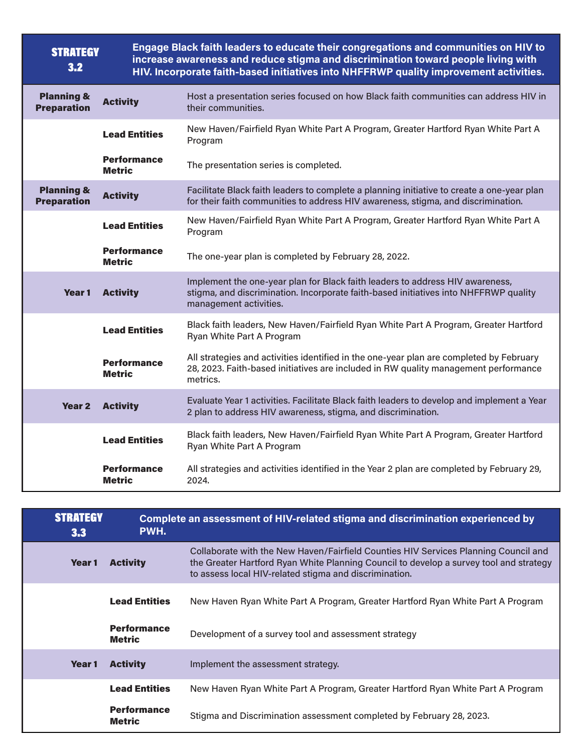| <b>STRATEGY</b><br>3.2                      |                                     | Engage Black faith leaders to educate their congregations and communities on HIV to<br>increase awareness and reduce stigma and discrimination toward people living with<br>HIV. Incorporate faith-based initiatives into NHFFRWP quality improvement activities. |
|---------------------------------------------|-------------------------------------|-------------------------------------------------------------------------------------------------------------------------------------------------------------------------------------------------------------------------------------------------------------------|
| <b>Planning &amp;</b><br><b>Preparation</b> | <b>Activity</b>                     | Host a presentation series focused on how Black faith communities can address HIV in<br>their communities.                                                                                                                                                        |
|                                             | <b>Lead Entities</b>                | New Haven/Fairfield Ryan White Part A Program, Greater Hartford Ryan White Part A<br>Program                                                                                                                                                                      |
|                                             | <b>Performance</b><br><b>Metric</b> | The presentation series is completed.                                                                                                                                                                                                                             |
| <b>Planning &amp;</b><br><b>Preparation</b> | <b>Activity</b>                     | Facilitate Black faith leaders to complete a planning initiative to create a one-year plan<br>for their faith communities to address HIV awareness, stigma, and discrimination.                                                                                   |
|                                             | <b>Lead Entities</b>                | New Haven/Fairfield Ryan White Part A Program, Greater Hartford Ryan White Part A<br>Program                                                                                                                                                                      |
|                                             | <b>Performance</b><br><b>Metric</b> | The one-year plan is completed by February 28, 2022.                                                                                                                                                                                                              |
| Year 1                                      | <b>Activity</b>                     | Implement the one-year plan for Black faith leaders to address HIV awareness,<br>stigma, and discrimination. Incorporate faith-based initiatives into NHFFRWP quality<br>management activities.                                                                   |
|                                             | <b>Lead Entities</b>                | Black faith leaders, New Haven/Fairfield Ryan White Part A Program, Greater Hartford<br>Ryan White Part A Program                                                                                                                                                 |
|                                             | <b>Performance</b><br><b>Metric</b> | All strategies and activities identified in the one-year plan are completed by February<br>28, 2023. Faith-based initiatives are included in RW quality management performance<br>metrics.                                                                        |
| Year <sub>2</sub>                           | <b>Activity</b>                     | Evaluate Year 1 activities. Facilitate Black faith leaders to develop and implement a Year<br>2 plan to address HIV awareness, stigma, and discrimination.                                                                                                        |
|                                             | <b>Lead Entities</b>                | Black faith leaders, New Haven/Fairfield Ryan White Part A Program, Greater Hartford<br>Ryan White Part A Program                                                                                                                                                 |
|                                             | <b>Performance</b><br><b>Metric</b> | All strategies and activities identified in the Year 2 plan are completed by February 29,<br>2024.                                                                                                                                                                |

| <b>STRATEGY</b><br>3.3 | PWH.                                | Complete an assessment of HIV-related stigma and discrimination experienced by                                                                                                                                                          |
|------------------------|-------------------------------------|-----------------------------------------------------------------------------------------------------------------------------------------------------------------------------------------------------------------------------------------|
| Year 1                 | <b>Activity</b>                     | Collaborate with the New Haven/Fairfield Counties HIV Services Planning Council and<br>the Greater Hartford Ryan White Planning Council to develop a survey tool and strategy<br>to assess local HIV-related stigma and discrimination. |
|                        | <b>Lead Entities</b>                | New Haven Ryan White Part A Program, Greater Hartford Ryan White Part A Program                                                                                                                                                         |
|                        | <b>Performance</b><br><b>Metric</b> | Development of a survey tool and assessment strategy                                                                                                                                                                                    |
| Year 1                 | <b>Activity</b>                     | Implement the assessment strategy.                                                                                                                                                                                                      |
|                        | <b>Lead Entities</b>                | New Haven Ryan White Part A Program, Greater Hartford Ryan White Part A Program                                                                                                                                                         |
|                        | <b>Performance</b><br><b>Metric</b> | Stigma and Discrimination assessment completed by February 28, 2023.                                                                                                                                                                    |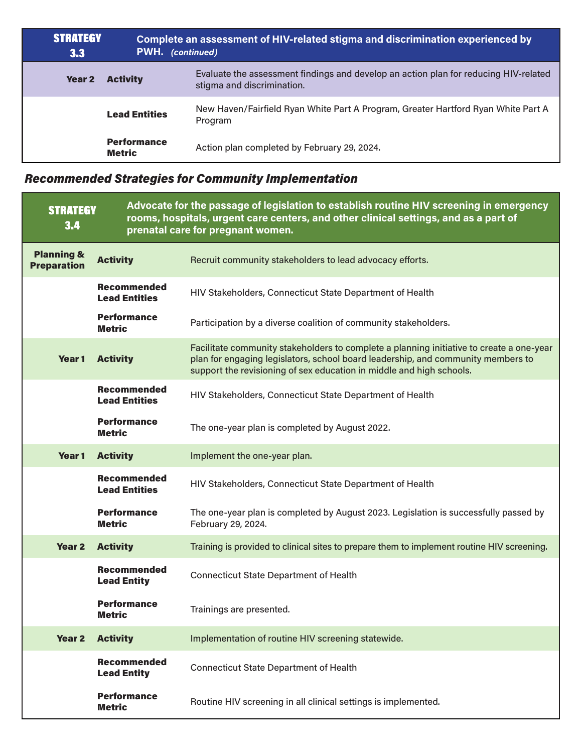| <b>STRATEGY</b><br>3.3 | <b>PWH.</b> (continued)             | Complete an assessment of HIV-related stigma and discrimination experienced by                                     |
|------------------------|-------------------------------------|--------------------------------------------------------------------------------------------------------------------|
| Year 2                 | <b>Activity</b>                     | Evaluate the assessment findings and develop an action plan for reducing HIV-related<br>stigma and discrimination. |
|                        | <b>Lead Entities</b>                | New Haven/Fairfield Ryan White Part A Program, Greater Hartford Ryan White Part A<br>Program                       |
|                        | <b>Performance</b><br><b>Metric</b> | Action plan completed by February 29, 2024.                                                                        |

| <b>STRATEGY</b><br>3.4                      |                                            | Advocate for the passage of legislation to establish routine HIV screening in emergency<br>rooms, hospitals, urgent care centers, and other clinical settings, and as a part of<br>prenatal care for pregnant women.                                 |
|---------------------------------------------|--------------------------------------------|------------------------------------------------------------------------------------------------------------------------------------------------------------------------------------------------------------------------------------------------------|
| <b>Planning &amp;</b><br><b>Preparation</b> | <b>Activity</b>                            | Recruit community stakeholders to lead advocacy efforts.                                                                                                                                                                                             |
|                                             | <b>Recommended</b><br><b>Lead Entities</b> | HIV Stakeholders, Connecticut State Department of Health                                                                                                                                                                                             |
|                                             | <b>Performance</b><br><b>Metric</b>        | Participation by a diverse coalition of community stakeholders.                                                                                                                                                                                      |
| Year 1                                      | <b>Activity</b>                            | Facilitate community stakeholders to complete a planning initiative to create a one-year<br>plan for engaging legislators, school board leadership, and community members to<br>support the revisioning of sex education in middle and high schools. |
|                                             | <b>Recommended</b><br><b>Lead Entities</b> | HIV Stakeholders, Connecticut State Department of Health                                                                                                                                                                                             |
|                                             | <b>Performance</b><br><b>Metric</b>        | The one-year plan is completed by August 2022.                                                                                                                                                                                                       |
| Year <sub>1</sub>                           | <b>Activity</b>                            | Implement the one-year plan.                                                                                                                                                                                                                         |
|                                             | <b>Recommended</b><br><b>Lead Entities</b> | HIV Stakeholders, Connecticut State Department of Health                                                                                                                                                                                             |
|                                             | <b>Performance</b><br><b>Metric</b>        | The one-year plan is completed by August 2023. Legislation is successfully passed by<br>February 29, 2024.                                                                                                                                           |
| Year 2                                      | <b>Activity</b>                            | Training is provided to clinical sites to prepare them to implement routine HIV screening.                                                                                                                                                           |
|                                             | <b>Recommended</b><br><b>Lead Entity</b>   | <b>Connecticut State Department of Health</b>                                                                                                                                                                                                        |
|                                             | <b>Performance</b><br><b>Metric</b>        | Trainings are presented.                                                                                                                                                                                                                             |
| <b>Year 2</b>                               | <b>Activity</b>                            | Implementation of routine HIV screening statewide.                                                                                                                                                                                                   |
|                                             | <b>Recommended</b><br><b>Lead Entity</b>   | <b>Connecticut State Department of Health</b>                                                                                                                                                                                                        |
|                                             | <b>Performance</b><br><b>Metric</b>        | Routine HIV screening in all clinical settings is implemented.                                                                                                                                                                                       |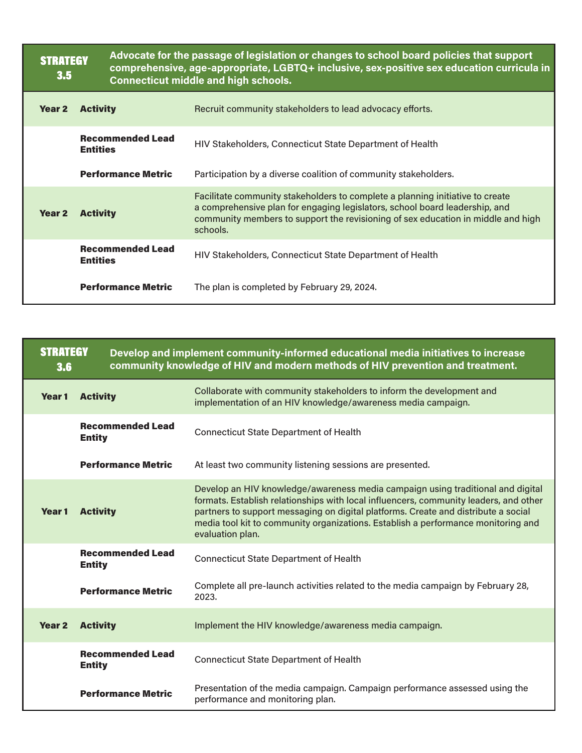| <b>STRATEGY</b><br>3.5 |                                            | Advocate for the passage of legislation or changes to school board policies that support<br>comprehensive, age-appropriate, LGBTQ+ inclusive, sex-positive sex education curricula in<br><b>Connecticut middle and high schools.</b>                         |  |
|------------------------|--------------------------------------------|--------------------------------------------------------------------------------------------------------------------------------------------------------------------------------------------------------------------------------------------------------------|--|
| <b>Year 2</b>          | <b>Activity</b>                            | Recruit community stakeholders to lead advocacy efforts.                                                                                                                                                                                                     |  |
|                        | <b>Recommended Lead</b><br><b>Entities</b> | HIV Stakeholders, Connecticut State Department of Health                                                                                                                                                                                                     |  |
|                        | <b>Performance Metric</b>                  | Participation by a diverse coalition of community stakeholders.                                                                                                                                                                                              |  |
| Year <sub>2</sub>      | <b>Activity</b>                            | Facilitate community stakeholders to complete a planning initiative to create<br>a comprehensive plan for engaging legislators, school board leadership, and<br>community members to support the revisioning of sex education in middle and high<br>schools. |  |
|                        | <b>Recommended Lead</b><br><b>Entities</b> | HIV Stakeholders, Connecticut State Department of Health                                                                                                                                                                                                     |  |
|                        | <b>Performance Metric</b>                  | The plan is completed by February 29, 2024.                                                                                                                                                                                                                  |  |

| <b>STRATEGY</b><br>3.6 |                                          | Develop and implement community-informed educational media initiatives to increase<br>community knowledge of HIV and modern methods of HIV prevention and treatment.                                                                                                                                                                                                    |
|------------------------|------------------------------------------|-------------------------------------------------------------------------------------------------------------------------------------------------------------------------------------------------------------------------------------------------------------------------------------------------------------------------------------------------------------------------|
| Year <sub>1</sub>      | <b>Activity</b>                          | Collaborate with community stakeholders to inform the development and<br>implementation of an HIV knowledge/awareness media campaign.                                                                                                                                                                                                                                   |
|                        | <b>Recommended Lead</b><br><b>Entity</b> | <b>Connecticut State Department of Health</b>                                                                                                                                                                                                                                                                                                                           |
|                        | <b>Performance Metric</b>                | At least two community listening sessions are presented.                                                                                                                                                                                                                                                                                                                |
| Year <sub>1</sub>      | <b>Activity</b>                          | Develop an HIV knowledge/awareness media campaign using traditional and digital<br>formats. Establish relationships with local influencers, community leaders, and other<br>partners to support messaging on digital platforms. Create and distribute a social<br>media tool kit to community organizations. Establish a performance monitoring and<br>evaluation plan. |
|                        | <b>Recommended Lead</b><br><b>Entity</b> | <b>Connecticut State Department of Health</b>                                                                                                                                                                                                                                                                                                                           |
|                        | <b>Performance Metric</b>                | Complete all pre-launch activities related to the media campaign by February 28,<br>2023.                                                                                                                                                                                                                                                                               |
| <b>Year 2</b>          | <b>Activity</b>                          | Implement the HIV knowledge/awareness media campaign.                                                                                                                                                                                                                                                                                                                   |
|                        | <b>Recommended Lead</b><br><b>Entity</b> | <b>Connecticut State Department of Health</b>                                                                                                                                                                                                                                                                                                                           |
|                        | <b>Performance Metric</b>                | Presentation of the media campaign. Campaign performance assessed using the<br>performance and monitoring plan.                                                                                                                                                                                                                                                         |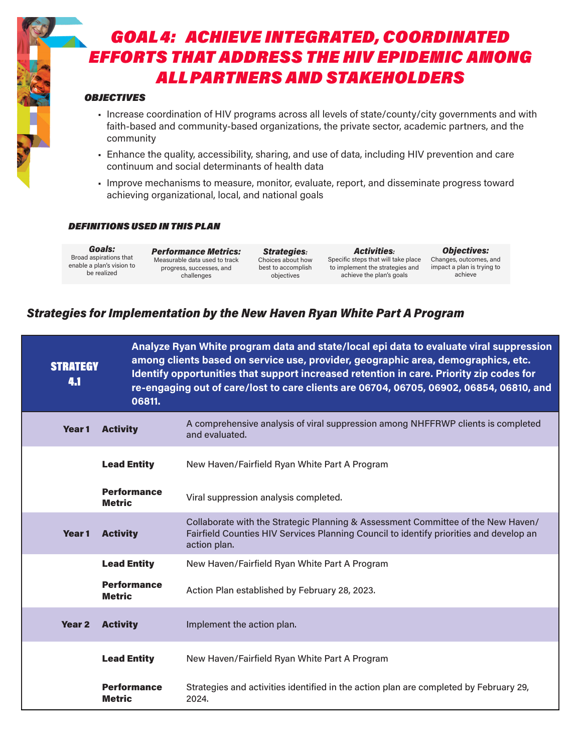# GOAL 4: ACHIEVE INTEGRATED, COORDINATED EFFORTS THAT ADDRESS THE HIV EPIDEMIC AMONG ALL PARTNERS AND STAKEHOLDERS

### **OBJECTIVES**

- Increase coordination of HIV programs across all levels of state/county/city governments and with faith-based and community-based organizations, the private sector, academic partners, and the community
- Enhance the quality, accessibility, sharing, and use of data, including HIV prevention and care continuum and social determinants of health data
- Improve mechanisms to measure, monitor, evaluate, report, and disseminate progress toward achieving organizational, local, and national goals

#### DEFINITIONS USED IN THIS PLAN

Goals: Broad aspirations that enable a plan's vision to be realized

Performance Metrics: Measurable data used to track progress, successes, and challenges

Strategies: Choices about how best to accomplish objectives

Activities: Specific steps that will take place Changes, outcomes, and to implement the strategies and achieve the plan's goals

Objectives: impact a plan is trying to achieve

| <b>STRATEGY</b><br>4.1 | 06811.                              | Analyze Ryan White program data and state/local epi data to evaluate viral suppression<br>among clients based on service use, provider, geographic area, demographics, etc.<br>Identify opportunities that support increased retention in care. Priority zip codes for<br>re-engaging out of care/lost to care clients are 06704, 06705, 06902, 06854, 06810, and |
|------------------------|-------------------------------------|-------------------------------------------------------------------------------------------------------------------------------------------------------------------------------------------------------------------------------------------------------------------------------------------------------------------------------------------------------------------|
| Year 1                 | <b>Activity</b>                     | A comprehensive analysis of viral suppression among NHFFRWP clients is completed<br>and evaluated.                                                                                                                                                                                                                                                                |
|                        | <b>Lead Entity</b>                  | New Haven/Fairfield Ryan White Part A Program                                                                                                                                                                                                                                                                                                                     |
|                        | <b>Performance</b><br><b>Metric</b> | Viral suppression analysis completed.                                                                                                                                                                                                                                                                                                                             |
| Year 1                 | <b>Activity</b>                     | Collaborate with the Strategic Planning & Assessment Committee of the New Haven/<br>Fairfield Counties HIV Services Planning Council to identify priorities and develop an<br>action plan.                                                                                                                                                                        |
|                        | <b>Lead Entity</b>                  | New Haven/Fairfield Ryan White Part A Program                                                                                                                                                                                                                                                                                                                     |
|                        | <b>Performance</b><br><b>Metric</b> | Action Plan established by February 28, 2023.                                                                                                                                                                                                                                                                                                                     |
| Year <sub>2</sub>      | <b>Activity</b>                     | Implement the action plan.                                                                                                                                                                                                                                                                                                                                        |
|                        | <b>Lead Entity</b>                  | New Haven/Fairfield Ryan White Part A Program                                                                                                                                                                                                                                                                                                                     |
|                        | <b>Performance</b><br><b>Metric</b> | Strategies and activities identified in the action plan are completed by February 29,<br>2024.                                                                                                                                                                                                                                                                    |